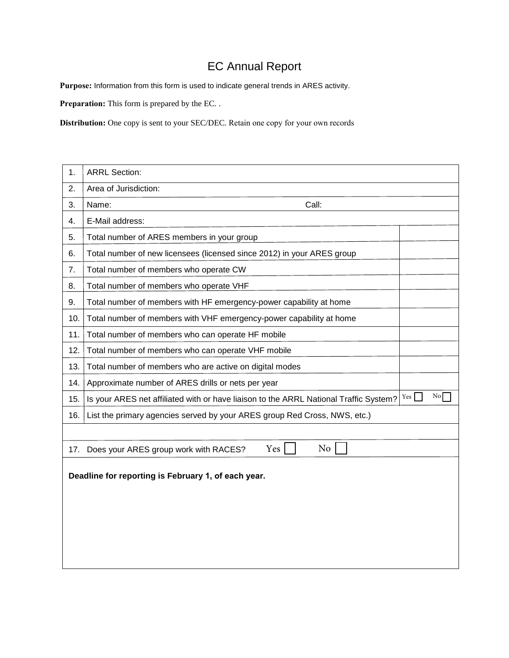## EC Annual Report

**Purpose:** Information from this form is used to indicate general trends in ARES activity.

**Preparation:** This form is prepared by the EC. .

**Distribution:** One copy is sent to your SEC/DEC. Retain one copy for your own records

| 1.                                                  | <b>ARRL Section:</b>                                                                  |     |                  |  |  |
|-----------------------------------------------------|---------------------------------------------------------------------------------------|-----|------------------|--|--|
| 2.                                                  | Area of Jurisdiction:                                                                 |     |                  |  |  |
| 3.                                                  | Name:<br>Call:                                                                        |     |                  |  |  |
| 4.                                                  | E-Mail address:                                                                       |     |                  |  |  |
| 5.                                                  | Total number of ARES members in your group                                            |     |                  |  |  |
| 6.                                                  | Total number of new licensees (licensed since 2012) in your ARES group                |     |                  |  |  |
| 7.                                                  | Total number of members who operate CW                                                |     |                  |  |  |
| 8.                                                  | Total number of members who operate VHF                                               |     |                  |  |  |
| 9.                                                  | Total number of members with HF emergency-power capability at home                    |     |                  |  |  |
| 10.                                                 | Total number of members with VHF emergency-power capability at home                   |     |                  |  |  |
| 11.                                                 | Total number of members who can operate HF mobile                                     |     |                  |  |  |
| 12.                                                 | Total number of members who can operate VHF mobile                                    |     |                  |  |  |
| 13.                                                 | Total number of members who are active on digital modes                               |     |                  |  |  |
| 14.                                                 | Approximate number of ARES drills or nets per year                                    |     |                  |  |  |
| 15.                                                 | Is your ARES net affiliated with or have liaison to the ARRL National Traffic System? | Yes | $\overline{N_0}$ |  |  |
| 16.                                                 | List the primary agencies served by your ARES group Red Cross, NWS, etc.)             |     |                  |  |  |
|                                                     |                                                                                       |     |                  |  |  |
| 17.                                                 | N <sub>o</sub><br>Yes<br>Does your ARES group work with RACES?                        |     |                  |  |  |
| Deadline for reporting is February 1, of each year. |                                                                                       |     |                  |  |  |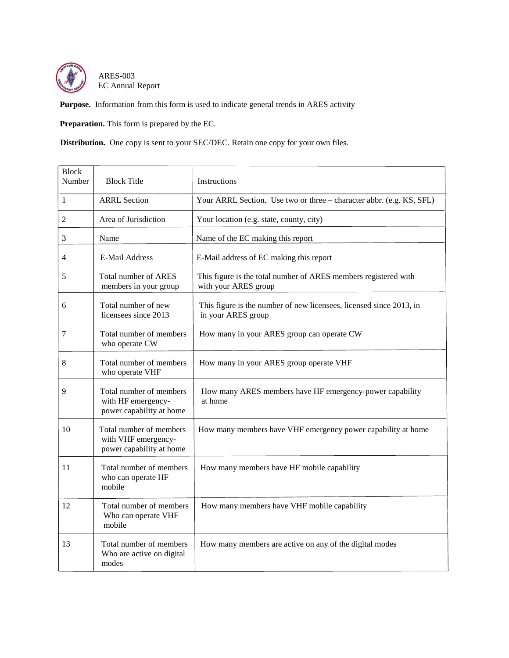

ARES-003 EC Annual Report

**Purpose.** Information from this form is used to indicate general trends in ARES activity

**Preparation.** This form is prepared by the EC.

**Distribution.** One copy is sent to your SEC/DEC. Retain one copy for your own files.

| <b>Block</b><br>Number | <b>Block Title</b>                                                         | Instructions                                                                              |
|------------------------|----------------------------------------------------------------------------|-------------------------------------------------------------------------------------------|
| $\mathbf{1}$           | <b>ARRL</b> Section                                                        | Your ARRL Section. Use two or three - character abbr. (e.g. KS, SFL)                      |
| $\mathfrak{2}$         | Area of Jurisdiction                                                       | Your location (e.g. state, county, city)                                                  |
| 3                      | Name                                                                       | Name of the EC making this report                                                         |
| 4                      | E-Mail Address                                                             | E-Mail address of EC making this report                                                   |
| 5                      | Total number of ARES<br>members in your group                              | This figure is the total number of ARES members registered with<br>with your ARES group   |
| 6                      | Total number of new<br>licensees since 2013                                | This figure is the number of new licensees, licensed since 2013, in<br>in your ARES group |
| 7                      | Total number of members<br>who operate CW                                  | How many in your ARES group can operate CW                                                |
| 8                      | Total number of members<br>who operate VHF                                 | How many in your ARES group operate VHF                                                   |
| 9                      | Total number of members<br>with HF emergency-<br>power capability at home  | How many ARES members have HF emergency-power capability<br>at home                       |
| 10                     | Total number of members<br>with VHF emergency-<br>power capability at home | How many members have VHF emergency power capability at home                              |
| 11                     | Total number of members<br>who can operate HF<br>mobile                    | How many members have HF mobile capability                                                |
| 12                     | Total number of members<br>Who can operate VHF<br>mobile                   | How many members have VHF mobile capability                                               |
| 13                     | Total number of members<br>Who are active on digital<br>modes              | How many members are active on any of the digital modes                                   |